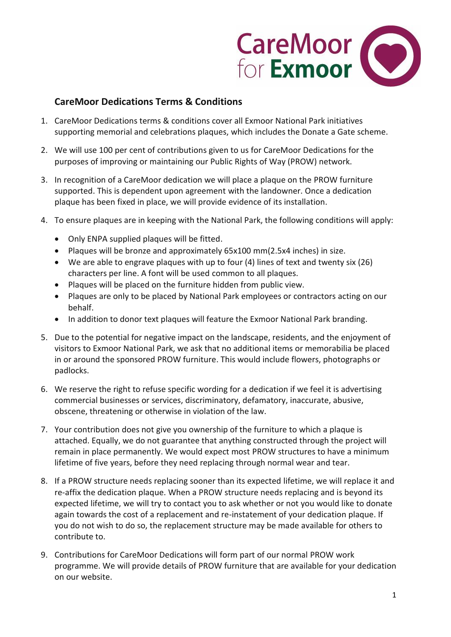

## **CareMoor Dedications Terms & Conditions**

- 1. CareMoor Dedications terms & conditions cover all Exmoor National Park initiatives supporting memorial and celebrations plaques, which includes the Donate a Gate scheme.
- 2. We will use 100 per cent of contributions given to us for CareMoor Dedications for the purposes of improving or maintaining our Public Rights of Way (PROW) network.
- 3. In recognition of a CareMoor dedication we will place a plaque on the PROW furniture supported. This is dependent upon agreement with the landowner. Once a dedication plaque has been fixed in place, we will provide evidence of its installation.
- 4. To ensure plaques are in keeping with the National Park, the following conditions will apply:
	- Only ENPA supplied plaques will be fitted.
	- Plaques will be bronze and approximately 65x100 mm(2.5x4 inches) in size.
	- We are able to engrave plaques with up to four (4) lines of text and twenty six (26) characters per line. A font will be used common to all plaques.
	- Plaques will be placed on the furniture hidden from public view.
	- Plaques are only to be placed by National Park employees or contractors acting on our behalf.
	- In addition to donor text plaques will feature the Exmoor National Park branding.
- 5. Due to the potential for negative impact on the landscape, residents, and the enjoyment of visitors to Exmoor National Park, we ask that no additional items or memorabilia be placed in or around the sponsored PROW furniture. This would include flowers, photographs or padlocks.
- 6. We reserve the right to refuse specific wording for a dedication if we feel it is advertising commercial businesses or services, discriminatory, defamatory, inaccurate, abusive, obscene, threatening or otherwise in violation of the law.
- 7. Your contribution does not give you ownership of the furniture to which a plaque is attached. Equally, we do not guarantee that anything constructed through the project will remain in place permanently. We would expect most PROW structures to have a minimum lifetime of five years, before they need replacing through normal wear and tear.
- 8. If a PROW structure needs replacing sooner than its expected lifetime, we will replace it and re-affix the dedication plaque. When a PROW structure needs replacing and is beyond its expected lifetime, we will try to contact you to ask whether or not you would like to donate again towards the cost of a replacement and re-instatement of your dedication plaque. If you do not wish to do so, the replacement structure may be made available for others to contribute to.
- 9. Contributions for CareMoor Dedications will form part of our normal PROW work programme. We will provide details of PROW furniture that are available for your dedication on our website.